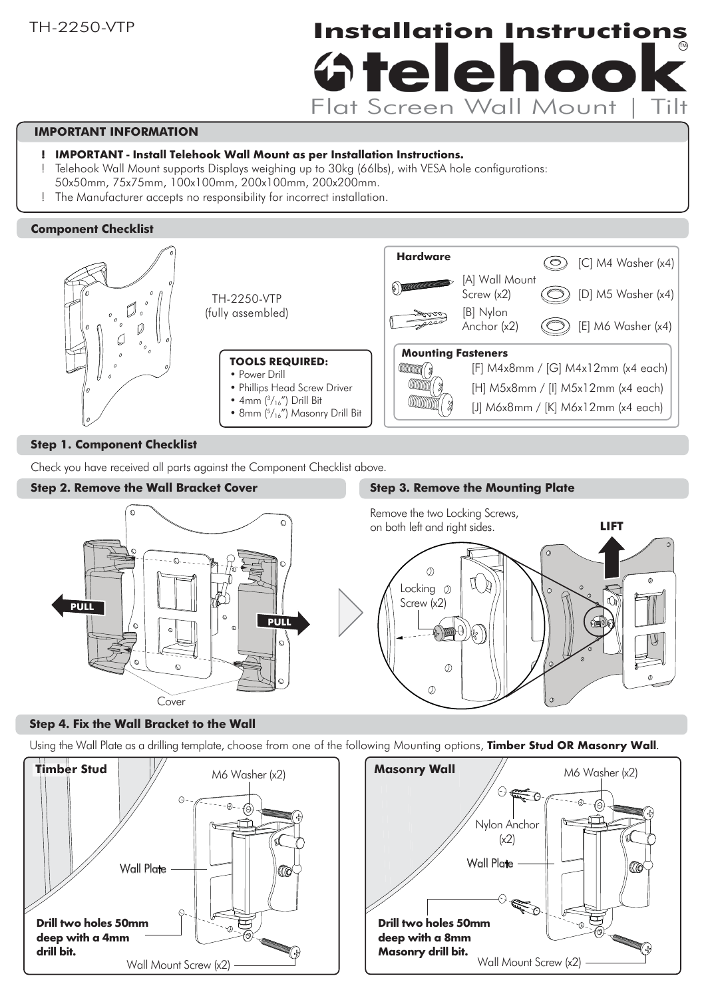# **Installation Instructions** TM **Oteleho** Flat Screen Wall Mount |

# **IMPORTANT INFORMATION**

- $\textbf{I} \text{ }$  IMPORTANT Install Telehook Wall Mount as per Installation Instructions.
- ! Telehook Wall Mount supports Displays weighing up to 30kg (66lbs), with VESA hole configurations:
- 50x50mm, 75x75mm, 100x100mm, 200x100mm, 200x200mm.
- The Manufacturer accepts no responsibility for incorrect installation.

#### **Component Checklist**



#### **Step 1. Component Checklist**

Check you have received all parts against the Component Checklist above.

#### **Step 2. Remove the Wall Bracket Cover**

### **Step 3. Remove the Mounting Plate**



#### **Step 4. Fix the Wall Bracket to the Wall**

Using the Wall Plate as a drilling template, choose from one of the following Mounting options, Timber Stud OR Masonry Wall.